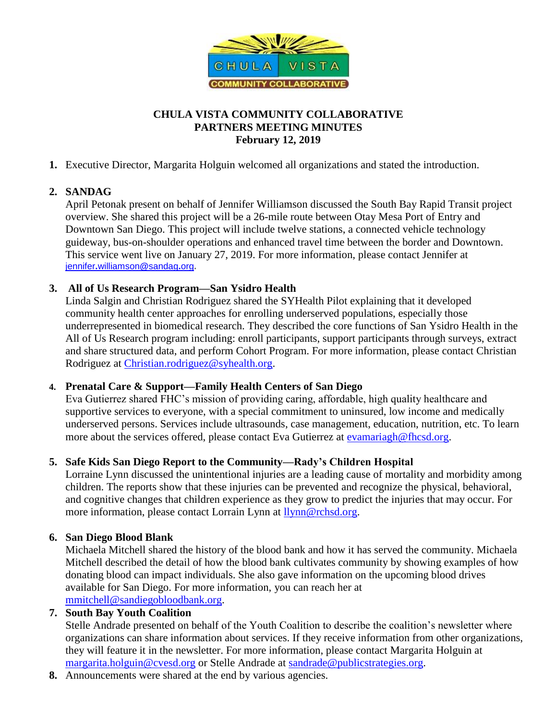

## **CHULA VISTA COMMUNITY COLLABORATIVE PARTNERS MEETING MINUTES February 12, 2019**

### **1.** Executive Director, Margarita Holguin welcomed all organizations and stated the introduction.

# **2. SANDAG**

April Petonak present on behalf of Jennifer Williamson discussed the South Bay Rapid Transit project overview. She shared this project will be a 26-mile route between Otay Mesa Port of Entry and Downtown San Diego. This project will include twelve stations, a connected vehicle technology guideway, bus-on-shoulder operations and enhanced travel time between the border and Downtown. This service went live on January 27, 2019. For more information, please contact Jennifer at jennifer**.**[williamson](mailto:jennifer.williamson@sandag.org)**@**sandag**.**org**.**

## **3. All of Us Research Program—San Ysidro Health**

Linda Salgin and Christian Rodriguez shared the SYHealth Pilot explaining that it developed community health center approaches for enrolling underserved populations, especially those underrepresented in biomedical research. They described the core functions of San Ysidro Health in the All of Us Research program including: enroll participants, support participants through surveys, extract and share structured data, and perform Cohort Program. For more information, please contact Christian Rodriguez at [Christian.rodriguez@syhealth.org.](mailto:Christian.rodriguez@syhealth.org)

#### **4. Prenatal Care & Support—Family Health Centers of San Diego**

Eva Gutierrez shared FHC's mission of providing caring, affordable, high quality healthcare and supportive services to everyone, with a special commitment to uninsured, low income and medically underserved persons. Services include ultrasounds, case management, education, nutrition, etc. To learn more about the services offered, please contact Eva Gutierrez at [evamariagh@fhcsd.org.](mailto:evamariagh@fhcsd.org)

#### **5. Safe Kids San Diego Report to the Community—Rady's Children Hospital**

Lorraine Lynn discussed the unintentional injuries are a leading cause of mortality and morbidity among children. The reports show that these injuries can be prevented and recognize the physical, behavioral, and cognitive changes that children experience as they grow to predict the injuries that may occur. For more information, please contact Lorrain Lynn at [llynn@rchsd.org.](mailto:llynn@rchsd.org)

#### **6. San Diego Blood Blank**

Michaela Mitchell shared the history of the blood bank and how it has served the community. Michaela Mitchell described the detail of how the blood bank cultivates community by showing examples of how donating blood can impact individuals. She also gave information on the upcoming blood drives available for San Diego. For more information, you can reach her at [mmitchell@sandiegobloodbank.org.](mailto:mmitchell@sandiegobloodbank.org)

## **7. South Bay Youth Coalition**

Stelle Andrade presented on behalf of the Youth Coalition to describe the coalition's newsletter where organizations can share information about services. If they receive information from other organizations, they will feature it in the newsletter. For more information, please contact Margarita Holguin at [margarita.holguin@cvesd.org](mailto:margarita.holguin@cvesd.org) or Stelle Andrade at [sandrade@publicstrategies.org.](mailto:sandrade@publicstrategies.org)

**8.** Announcements were shared at the end by various agencies.